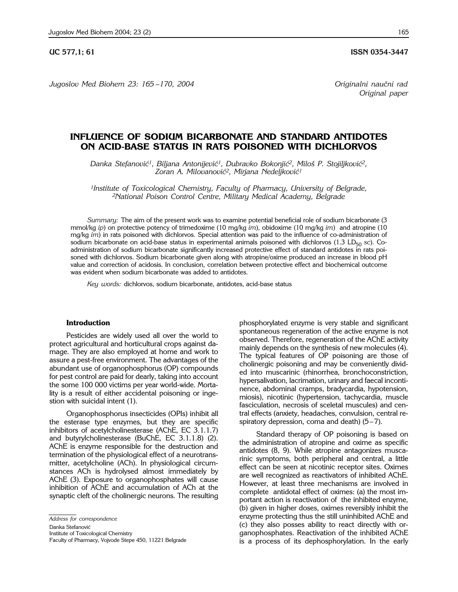**UC 577,1; 61 ISSN 0354-3447** 

*Jugoslov Med Biohem 23: 165 –170, 2004 Originalni nau~ni rad*

*Original paper*

# **INFLUENCE OF SODIUM BICARBONATE AND STANDARD ANTIDOTES ON ACID-BASE STATUS IN RATS POISONED WITH DICHLORVOS**

Danka Stefanović<sup>1</sup>, Biljana Antonijević<sup>1</sup>, Dubravko Bokonjić<sup>2</sup>, Miloš P. Stojiljković<sup>2</sup>, Zoran A. Milovanović<sup>2</sup>, Mirjana Nedeljković<sup>1</sup>

*1Institute of Toxicological Chemistry, Faculty of Pharmacy, University of Belgrade, 2National Poison Control Centre, Military Medical Academy, Belgrade*

*Summary:* The aim of the present work was to examine potential beneficial role of sodium bicarbonate (3 mmol/kg *ip*) on protective potency of trimedoxime (10 mg/kg *im*), obidoxime (10 mg/kg *im*) and atropine (10 mg/kg *im*) in rats poisoned with dichlorvos. Special attention was paid to the influence of co-administration of sodium bicarbonate on acid-base status in experimental animals poisoned with dichlorvos (1.3 LD<sub>50</sub> sc). Coadministration of sodium bicarbonate significantly increased protective effect of standard antidotes in rats poisoned with dichlorvos. Sodium bicarbonate given along with atropine/oxime produced an increase in blood pH value and correction of acidosis. In conclusion, correlation between protective effect and biochemical outcome was evident when sodium bicarbonate was added to antidotes.

*Key words:* dichlorvos, sodium bicarbonate, antidotes, acid-base status

#### **Introduction**

Pesticides are widely used all over the world to protect agricultural and horticultural crops against damage. They are also employed at home and work to assure a pest-free environment. The advantages of the abundant use of organophosphorus (OP) compounds for pest control are paid for dearly, taking into account the some 100 000 victims per year world-wide. Mortality is a result of either accidental poisoning or ingestion with suicidal intent (1).

Organophosphorus insecticides (OPIs) inhibit all the esterase type enzymes, but they are specific inhibitors of acetylcholinesterase (AChE, EC 3.1.1.7) and butyrylcholinesterase (BuChE, EC 3.1.1.8) (2). AChE is enzyme responsible for the destruction and termination of the physiological effect of a neurotransmitter, acetylcholine (ACh). In physiological circumstances ACh is hydrolysed almost immediately by AChE (3). Exposure to organophosphates will cause inhibition of AChE and accumulation of ACh at the synaptic cleft of the cholinergic neurons. The resulting

*Address for correspondence*

Danka Stefanović

Institute of Toxicological Chemistry

Faculty of Pharmacy, Vojvode Stepe 450, 11221 Belgrade

phosphorylated enzyme is very stable and significant spontaneous regeneration of the active enzyme is not observed. Therefore, regeneration of the AChE activity mainly depends on the synthesis of new molecules (4). The typical features of OP poisoning are those of cholinergic poisoning and may be conveniently divided into muscarinic (rhinorrhea, bronchoconstriction, hypersalivation, lacrimation, urinary and faecal incontinence, abdominal cramps, bradycardia, hypotension, miosis), nicotinic (hypertension, tachycardia, muscle fasciculation, necrosis of sceletal muscules) and central effects (anxiety, headaches, convulsion, central respiratory depression, coma and death)  $(5-7)$ .

Standard therapy of OP poisoning is based on the administration of atropine and oxime as specific antidotes (8, 9). While atropine antagonizes muscarinic symptoms, both peripheral and central, a little effect can be seen at nicotinic receptor sites. Oximes are well recognized as reactivators of inhibited AChE. However, at least three mechanisms are involved in complete antidotal effect of oximes: (a) the most important action is reactivation of the inhibited enzyme, (b) given in higher doses, oximes reversibly inhibit the enzyme protecting thus the still uninhibited AChE and (c) they also posses ability to react directly with organophosphates. Reactivation of the inhibited AChE is a process of its dephosphorylation. In the early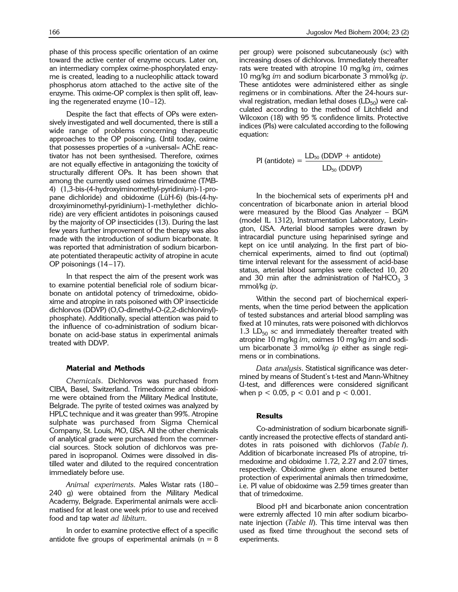phase of this process specific orientation of an oxime toward the active center of enzyme occurs. Later on, an intermediary complex oxime-phosphorylated enzyme is created, leading to a nucleophilic attack toward phosphorus atom attached to the active site of the enzyme. This oxime-OP complex is then split off, leaving the regenerated enzyme  $(10-12)$ .

Despite the fact that effects of OPs were extensively investigated and well documented, there is still a wide range of problems concerning therapeutic approaches to the OP poisoning. Until today, oxime that possesses properties of a »universal« AChE reactivator has not been synthesised. Therefore, oximes are not equally effective in antagonizing the toxicity of structurally different OPs. It has been shown that among the currently used oximes trimedoxime (TMB-4) (1,3-bis-(4-hydroxyiminomethyl-pyridinium)-1-propane dichloride) and obidoxime (LüH-6) (bis-(4-hydroxyiminomethyl-pyridinium)-1-methylether dichloride) are very efficient antidotes in poisonings caused by the majority of OP insecticides (13). During the last few years further improvement of the therapy was also made with the introduction of sodium bicarbonate. It was reported that administration of sodium bicarbonate potentiated therapeutic activity of atropine in acute OP poisonings  $(14-17)$ .

In that respect the aim of the present work was to examine potential beneficial role of sodium bicarbonate on antidotal potency of trimedoxime, obidoxime and atropine in rats poisoned with OP insecticide dichlorvos (DDVP) (O,O-dimethyl-O-(2,2-dichlorvinyl) phosphate). Additionally, special attention was paid to the influence of co-administration of sodium bicarbonate on acid-base status in experimental animals treated with DDVP.

## **Material and Methods**

*Chemicals*. Dichlorvos was purchased from CIBA, Basel, Switzerland. Trimedoxime and obidoxime were obtained from the Military Medical Institute, Belgrade. The pyrite of tested oximes was analyzed by HPLC technique and it was greater than 99%. Atropine sulphate was purchased from Sigma Chemical Company, St. Louis, MO, USA. All the other chemicals of analytical grade were purchased from the commercial sources. Stock solution of dichlorvos was prepared in isopropanol. Oximes were dissolved in distilled water and diluted to the required concentration immediately before use.

Animal experiments. Males Wistar rats (180-240 g) were obtained from the Military Medical Academy, Belgrade. Experimental animals were acclimatised for at least one week prior to use and received food and tap water *ad libitum.* 

In order to examine protective effect of a specific antidote five groups of experimental animals ( $n = 8$ ) per group) were poisoned subcutaneously (*sc*) with increasing doses of dichlorvos. Immediately thereafter rats were treated with atropine 10 mg/kg *im*, oximes 10 mg/kg *im* and sodium bicarbonate 3 mmol/kg *ip.* These antidotes were administered either as single regimens or in combinations. After the 24-hours survival registration, median lethal doses  $(LD_{50})$  were calculated according to the method of Litchfield and Wilcoxon (18) with 95 % confidence limits. Protective indices (PIs) were calculated according to the following equation:

$$
PI (antidote) = \frac{LD_{50} (DDVP + antidote)}{LD_{50} (DDVP)}
$$

In the biochemical sets of experiments pH and concentration of bicarbonate anion in arterial blood were measured by the Blood Gas Analyzer  $-$  BGM (model IL 1312), Instrumentation Laboratory, Lexington, USA. Arterial blood samples were drawn by intracardial puncture using heparinised syringe and kept on ice until analyzing. In the first part of biochemical experiments, aimed to find out (optimal) time interval relevant for the assessment of acid-base status, arterial blood samples were collected 10, 20 and 30 min after the administration of NaHCO<sub>3</sub> 3 mmol/kg *ip*.

Within the second part of biochemical experiments, when the time period between the application of tested substances and arterial blood sampling was fixed at 10 minutes, rats were poisoned with dichlorvos 1.3  $LD_{50}$  *sc* and immediately thereafter treated with atropine 10 mg/kg *im*, oximes 10 mg/kg *im* and sodium bicarbonate 3 mmol/kg *ip* either as single regimens or in combinations.

*Data analysis*. Statistical significance was determined by means of Student's t-test and Mann-Whitney U-test, and differences were considered significant when  $p < 0.05$ ,  $p < 0.01$  and  $p < 0.001$ .

## **Results**

Co-administration of sodium bicarbonate significantly increased the protective effects of standard antidotes in rats poisoned with dichlorvos (*Table I*). Addition of bicarbonate increased PIs of atropine, trimedoxime and obidoxime 1.72, 2.27 and 2.07 times, respectively. Obidoxime given alone ensured better protection of experimental animals then trimedoxime, i.e. PI value of obidoxime was 2.59 times greater than that of trimedoxime.

Blood pH and bicarbonate anion concentration were extremly affected 10 min after sodium bicarbonate injection (*Table II*). This time interval was then used as fixed time throughout the second sets of experiments.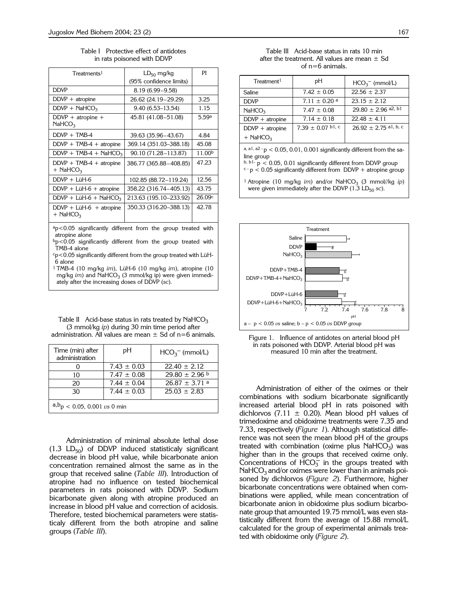Table I Protective effect of antidotes in rats poisoned with DDVP

| Treatments <sup>1</sup>                             | $LD_{50}$ mg/kg<br>(95% confidence limits) | РI     |
|-----------------------------------------------------|--------------------------------------------|--------|
| <b>DDVP</b>                                         | 8.19 (6.99 - 9.58)                         |        |
| $DDVP + atropine$                                   | 26.62 (24.19 - 29.29)                      | 3.25   |
| $DDVP + NaHCO3$                                     | 9.40 (6.53–13.54)                          | 1.15   |
| $DDVP + atropine +$<br>NAHCO <sub>3</sub>           | 45.81 (41.08-51.08)                        | 5.59a  |
| $DDVP + TMB-4$                                      | 39.63 (35.96 - 43.67)                      | 4.84   |
| $DDVP + TMB-4 + atropine$                           | 369.14 (351.03-388.18)                     | 45.08  |
| $DDVP + TMB-4 + NaHCO3$                             | 90.10 (71.28–113.87)                       | 11.00b |
| $DDVP + TMB-4 + atropine$<br>$+$ NaHCO <sub>3</sub> | 386.77 (365.88 - 408.85)                   | 47.23  |
| $DDVP + LiH-6$                                      | 102.85 (88.72-119.24)                      | 12.56  |
| $DDVP + LüH-6 + atropine$                           | 358.22 (316.74-405.13)                     | 43.75  |
| $DDVP + LüH-6 + NaHCO3$                             | 213.63 (195.10-233.92)                     | 26.09c |
| $DDVP + LüH-6 + atropine$<br>$+$ NaHCO <sub>3</sub> | 350.33 (316.20–388.13)                     | 42.78  |
|                                                     |                                            |        |

ap<0.05 significantly different from the group treated with atropine alone

 $b$ p<0.05 significantly different from the group treated with TMB-4 alone

cp<0.05 significantly different from the group treated with LüH-6 alone

1 TMB-4 (10 mg/kg *im*), LüH-6 (10 mg/kg *im*), atropine (10 mg/kg *im*) and NaHCO<sub>3</sub> (3 mmol/kg ip) were given immediately after the increasing doses of DDVP (*sc*).

Table II Acid-base status in rats treated by  $NafCO<sub>3</sub>$ (3 mmol/kg *ip*) during 30 min time period after administration. All values are mean  $\pm$  Sd of n=6 animals.

| Time (min) after<br>administration     | рH              | $HCO3-$ (mmol/L)   |  |  |
|----------------------------------------|-----------------|--------------------|--|--|
|                                        | $7.43 \pm 0.03$ | $22.40 \pm 2.12$   |  |  |
| 10                                     | $7.47 \pm 0.08$ | $29.80 \pm 2.96$ b |  |  |
| 20                                     | $7.44 \pm 0.04$ | $26.87 \pm 3.71$ a |  |  |
| 30                                     | $7.44 + 0.03$   | $25.03 \pm 2.83$   |  |  |
| $a, b_p$ < 0.05, 0.001 <i>vs</i> 0 min |                 |                    |  |  |

Administration of minimal absolute lethal dose  $(1.3 \text{LD}_{50})$  of DDVP induced statisticaly significant decrease in blood pH value, while bicarbonate anion concentration remained almost the same as in the group that received saline (*Table III*). Introduction of atropine had no influence on tested biochemical parameters in rats poisoned with DDVP. Sodium bicarbonate given along with atropine produced an increase in blood pH value and correction of acidosis. Therefore, tested biochemical parameters were statisticaly different from the both atropine and saline groups (*Table III*).

|                   | Table III Acid-base status in rats 10 min         |  |  |  |
|-------------------|---------------------------------------------------|--|--|--|
|                   | after the treatment. All values are mean $\pm$ Sd |  |  |  |
| of $n=6$ animals. |                                                   |  |  |  |

| Treatment <sup>1</sup> | рH                           | $HCO3-$ (mmol/L)          |
|------------------------|------------------------------|---------------------------|
| Saline                 | $7.42 \pm 0.05$              | $22.56 \pm 2.37$          |
| <b>DDVP</b>            | $7.11 \pm 0.20$ <sup>a</sup> | $23.15 \pm 2.12$          |
| NAHCO <sub>3</sub>     | $7.47 \pm 0.08$              | $29.80 \pm 2.96$ a2, b1   |
| $DDVP + atropine$      | $7.14 \pm 0.18$              | $22.48 \pm 4.11$          |
| $DDVP + atropine$      | $7.39 \pm 0.07$ b1, c        | $26.92 \pm 2.75$ al, b, c |
| $+$ NaHCO <sub>3</sub> |                              |                           |

a, a1, a2 -  $p < 0.05$ , 0.01, 0.001 significantly different from the saline group

 $b, b1-p < 0.05, 0.01$  significantly different from DDVP group  $c$  - p < 0.05 significantly different from DDVP + atropine group

<sup>1</sup> Atropine (10 mg/kg *im*) and/or NaHCO<sub>3</sub> (3 mmol//kg *ip*) were given immediately after the DDVP  $(1.3 \text{ LD}_{50} \text{ sc})$ .





Administration of either of the oximes or their combinations with sodium bicarbonate significantly increased arterial blood pH in rats poisoned with dichlorvos (7.11  $\pm$  0.20). Mean blood pH values of trimedoxime and obidoxime treatments were 7.35 and 7.33, respectively (*Figure 1*). Although statistical difference was not seen the mean blood pH of the groups treated with combination (oxime plus  $NafCO<sub>3</sub>$ ) was higher than in the groups that received oxime only. Concentrations of  $HCO<sub>3</sub><sup>-</sup>$  in the groups treated with  $NaHCO<sub>3</sub>$  and/or oximes were lower than in animals poisoned by dichlorvos (*Figure 2*). Furthermore, higher bicarbonate concentrations were obtained when combinations were applied, while mean concentration of bicarbonate anion in obidoxime plus sodium bicarbonate group that amounted 19.75 mmol/L was even statistically different from the average of 15.88 mmol/L calculated for the group of experimental animals treated with obidoxime only (*Figure 2*).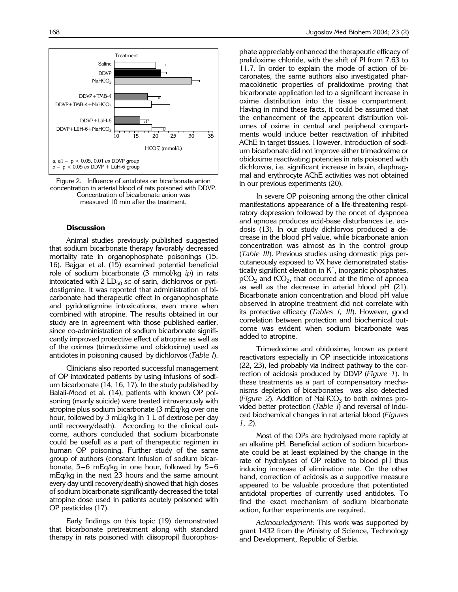

Figure 2. Influence of antidotes on bicarbonate anion concentration in arterial blood of rats poisoned with DDVP. Concentration of bicarbonate anion was measured 10 min after the treatment.

## **Discussion**

Animal studies previously published suggested that sodium bicarbonate therapy favorably decreased mortality rate in organophosphate poisonings (15, 16). Bajgar et al. (15) examined potential beneficial role of sodium bicarbonate (3 mmol/kg *ip*) in rats intoxicated with  $2 L D_{50}$  *sc* of sarin, dichlorvos or pyridostigmine. It was reported that administration of bicarbonate had therapeutic effect in organophosphate and pyridostigmine intoxications, even more when combined with atropine. The results obtained in our study are in agreement with those published earlier, since co-administration of sodium bicarbonate significantly improved protective effect of atropine as well as of the oximes (trimedoxime and obidoxime) used as antidotes in poisoning caused by dichlorvos (*Table I*).

Clinicians also reported successful management of OP intoxicated patients by using infusions of sodium bicarbonate (14, 16, 17). In the study published by Balali-Mood et al. (14), patients with known OP poisoning (manly suicide) were treated intravenously with atropine plus sodium bicarbonate (3 mEq/kg over one hour, followed by 3 mEq/kg in 1 L of dextrose per day until recovery/death). According to the clinical outcome, authors concluded that sodium bicarbonate could be usefull as a part of therapeutic regimen in human OP poisoning. Further study of the same group of authors (constant infusion of sodium bicarbonate,  $5-6$  mEq/kg in one hour, followed by  $5-6$ mEq/kg in the next 23 hours and the same amount every day until recovery/death) showed that high doses of sodium bicarbonate significantly decreased the total atropine dose used in patients acutely poisoned with OP pesticides (17).

Early findings on this topic (19) demonstrated that bicarbonate pretreatment along with standard therapy in rats poisoned with diisopropil fluorophosphate appreciably enhanced the therapeutic efficacy of pralidoxime chloride, with the shift of PI from 7.63 to 11.7. In order to explain the mode of action of bicaronates, the same authors also investigated pharmacokinetic properties of pralidoxime proving that bicarbonate application led to a significant increase in oxime distribution into the tissue compartment. Having in mind these facts, it could be assumed that the enhancement of the appearent distribution volumes of oxime in central and peripheral compartments would induce better reactivation of inhibited AChE in target tissues. However, introduction of sodium bicarbonate did not improve either trimedoxime or obidoxime reactivating potencies in rats poisoned with dichlorvos, i.e. significant increase in brain, diaphragmal and erythrocyte AChE activities was not obtained in our previous experiments (20).

In severe OP poisoning among the other clinical manifestations appearance of a life-threatening respiratory depression followed by the oncet of dyspnoea and apnoea produces acid-base disturbances i.e. acidosis (13). In our study dichlorvos produced a decrease in the blood pH value, while bicarbonate anion concentration was almost as in the control group (*Table III*). Previous studies using domestic pigs percutaneously exposed to VX have demonstrated statistically significnt elevation in  $K^+$ , inorganic phosphates,  $pCO<sub>2</sub>$  and tCO<sub>2</sub>, that occurred at the time of apnoea as well as the decrease in arterial blood pH (21). Bicarbonate anion concentration and blood pH value observed in atropine treatment did not correlate with its protective efficacy (*Tables I, III*). However, good correlation between protection and biochemical outcome was evident when sodium bicarbonate was added to atropine.

Trimedoxime and obidoxime, known as potent reactivators especially in OP insecticide intoxications (22, 23), led probably via indirect pathway to the correction of acidosis produced by DDVP (*Figure 1*). In these treatments as a part of compensatory mechanisms depletion of bicarbonates was also detected ( $Figure 2$ ). Addition of NaHCO<sub>3</sub> to both oximes provided better protection (*Table I*) and reversal of induced biochemical changes in rat arterial blood (*Figures 1, 2*).

Most of the OPs are hydrolysed more rapidly at an alkaline pH. Beneficial action of sodium bicarbonate could be at least explained by the change in the rate of hydrolyses of OP relative to blood pH thus inducing increase of elimination rate. On the other hand, correction of acidosis as a supportive measure appeared to be valuable procedure that potentiated antidotal properties of currently used antidotes. To find the exact mechanism of sodium bicarbonate action, further experiments are required.

*Acknowledgment:* This work was supported by grant 1432 from the Ministry of Science, Technology and Development, Republic of Serbia.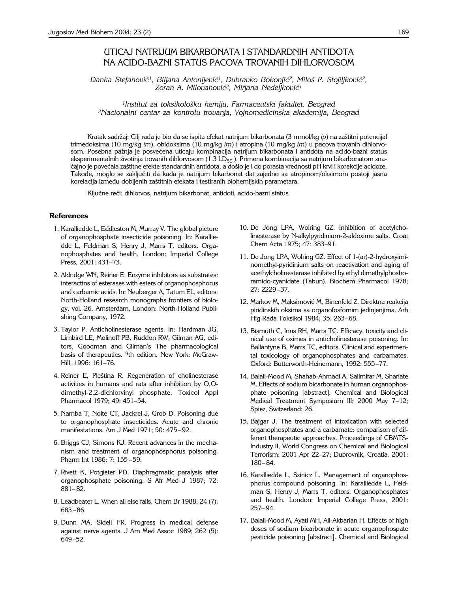## UTICAJ NATRIJUM BIKARBONATA I STANDARDNIH ANTIDOTA NA ACIDO-BAZNI STATUS PACOVA TROVANIH DIHLORVOSOM

Danka Stefanović<sup>1</sup>, Biljana Antonijević<sup>1</sup>, Dubravko Bokonjić<sup>2</sup>, Miloš P. Stojiljković<sup>2</sup>, Zoran A. Milovanović<sup>2</sup>, Mirjana Nedeljković<sup>1</sup>

*1Institut za toksikolo{ku hemiju, Farmaceutski fakultet, Beograd 2Nacionalni centar za kontrolu trovanja, Vojnomedicinska akademija, Beograd*

Kratak sadržaj: Cilj rada je bio da se ispita efekat natrijum bikarbonata (3 mmol/kg *ip*) na zaštitni potencijal trimedoksima (10 mg/kg *im*), obidoksima (10 mg/kg *im*) i atropina (10 mg/kg *im*) u pacova trovanih dihlorvosom. Posebna pažnja je posvećena uticaju kombinacija natrijum bikarbonata i antidota na acido-bazni status eksperimentalnih životinja trovanih dihlorvosom (1.3 LD<sub>50</sub>). Primena kombinacija sa natrijum bikarbonatom značajno je povećala zaštitne efekte standardnih antidota, a došlo je i do porasta vrednosti pH krvi i korekcije acidoze. Takođe, moglo se zaključiti da kada je natrijum bikarbonat dat zajedno sa atropinom/oksimom postoji jasna korelacija između dobijenih zaštitnih efekata i testiranih biohemijskih parametara.

Ključne reči: dihlorvos, natrijum bikarbonat, antidoti, acido-bazni status

### **References**

- 1. Karalliedde L, Eddleston M, Murray V. The global picture of organophosphate insecticide poisoning. In: Karalliedde L, Feldman S, Henry J, Marrs T, editors. Organophosphates and health. London: Imperial College Press, 2001: 431-73.
- 2. Aldridge WN, Reiner E. Enzyme inhibitors as substrates: interactins of esterases with esters of organophosphorus and carbamic acids. In: Neuberger A, Tatum EL, editors. North-Holland research monographs frontiers of biology, vol. 26. Amsterdam, London: North-Holland Publishing Company, 1972.
- 3. Taylor P. Anticholinesterase agents. In: Hardman JG, Limbird LE, Molinoff PB, Ruddon RW, Gilman AG, editors. Goodman and Gilman's The pharmacological basis of therapeutics. <sup>9</sup>th edition. New York: McGraw-Hill, 1996: 161-76.
- 4. Reiner E, Pleština R. Regeneration of cholinesterase activities in humans and rats after inhibition by O,Odimethyl-2,2-dichlorvinyl phosphate. Toxicol Appl Pharmacol 1979; 49: 451-54.
- 5. Namba T, Nolte CT, Jackrel J, Grob D. Poisoning due to organophosphate insecticides. Acute and chronic manifestations. Am J Med 1971; 50: 475-92.
- 6. Briggs CJ, Simons KJ. Recent advances in the mechanism and treatment of organophosphorus poisoning. Pharm Int 1986; 7: 155-59.
- 7. Rivett K, Potgieter PD. Diaphragmatic paralysis after organophosphate poisoning. S Afr Med J 1987; 72: 881-82.
- 8. Leadbeater L. When all else fails. Chem Br 1988; 24 (7): 683-86.
- 9. Dunn MA, Sidell FR. Progress in medical defense against nerve agents. J Am Med Assoc 1989; 262 (5): 649-52.
- 10. De Jong LPA, Wolring GZ. Inhibition of acetylcholinesterase by N-alkylpyridinium-2-aldoxime salts. Croat Chem Acta 1975; 47: 383-91.
- 11. De Jong LPA, Wolring GZ. Effect of 1-(ar)-2-hydroxyiminomethyl-pyridinium salts on reactivation and aging of acethylcholinesterase inhibited by ethyl dimethylphoshoramido-cyanidate (Tabun). Biochem Pharmacol 1978; 27: 2229-37.
- 12. Markov M, Maksimović M, Binenfeld Z. Direktna reakcija piridinskih oksima sa organofosfornim jedinjenjima. Arh Hig Rada Toksikol 1984; 35: 263-68.
- 13. Bismuth C, Inns RH, Marrs TC. Efficacy, toxicity and clinical use of oximes in anticholinesterase poisoning. In: Ballantyne B, Marrs TC, editors. Clinical and experimental toxicology of organophosphates and carbamates. Oxford: Butterworth-Heinemann, 1992: 555-77.
- 14. Balali-Mood M, Shahab-Ahmadi A, Salimifar M, Shariate M. Effects of sodium bicarbonate in human organophosphate poisoning [abstract]. Chemical and Biological Medical Treatment Symposium III; 2000 May 7-12; Spiez, Switzerland: 26.
- 15. Bajgar J. The treatment of intoxication with selected organophosphates and a carbamate: comparison of different therapeutic approaches. Proceedings of CBMTS-Industry II, World Congress on Chemical and Biological Terrorism: 2001 Apr 22-27; Dubrovnik, Croatia. 2001:  $180 - 84.$
- 16. Karalliedde L, Szinicz L. Management of organophosphorus compound poisoning. In: Karalliedde L, Feldman S, Henry J, Marrs T, editors. Organophosphates and health. London: Imperial College Press, 2001:  $257 - 94.$
- 17. Balali-Mood M, Ayati MH, Ali-Akbarian H. Effects of high doses of sodium bicarbonate in acute organophospate pesticide poisoning [abstract]. Chemical and Biological